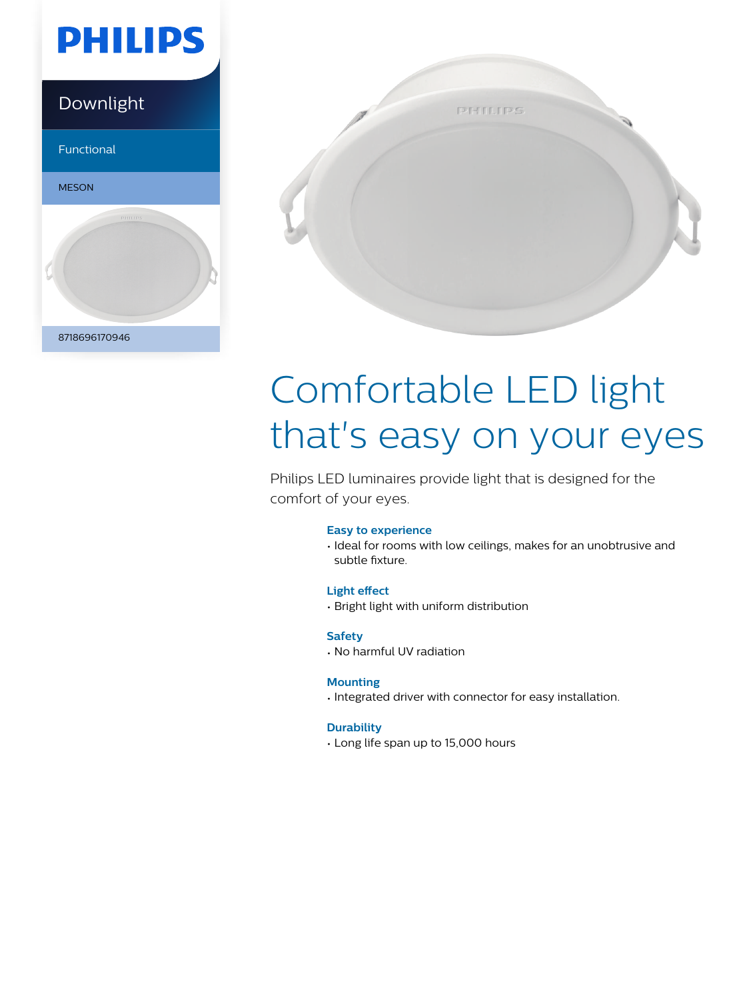

### Downlight

Functional





# Comfortable LED light that's easy on your eyes

Philips LED luminaires provide light that is designed for the comfort of your eyes.

#### **Easy to experience**

• Ideal for rooms with low ceilings, makes for an unobtrusive and subtle fixture.

#### **Light effect**

• Bright light with uniform distribution

#### **Safety**

• No harmful UV radiation

#### **Mounting**

• Integrated driver with connector for easy installation.

#### **Durability**

• Long life span up to 15,000 hours